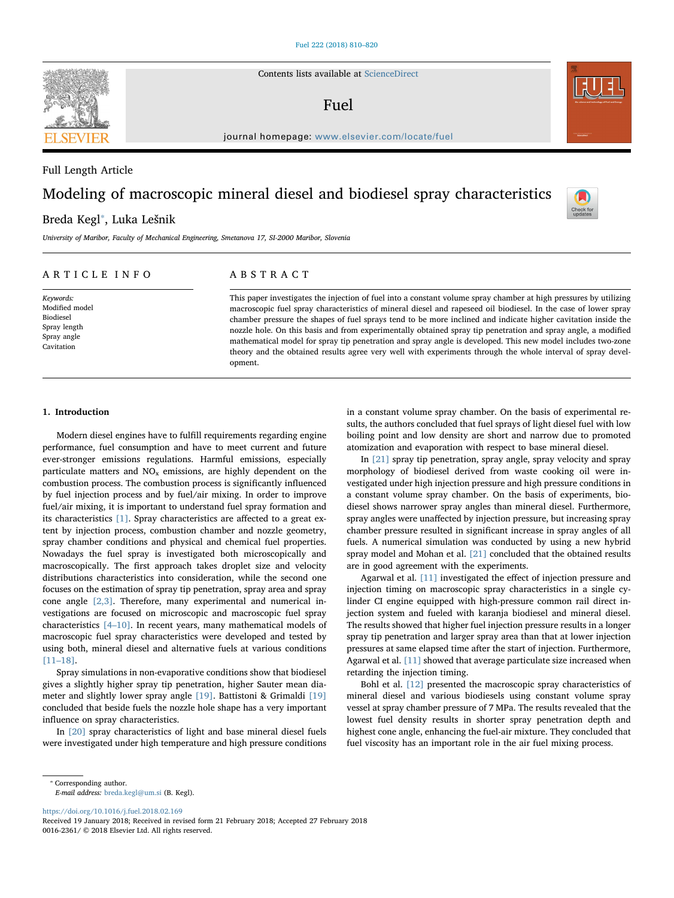Contents lists available at [ScienceDirect](http://www.sciencedirect.com/science/journal/00162361)

## Fuel

journal homepage: [www.elsevier.com/locate/fuel](https://www.elsevier.com/locate/fuel)

# Modeling of macroscopic mineral diesel and biodiesel spray characteristics

## Breda Kegl<sup>\*</sup>, Luka Lešnik

University of Maribor, Faculty of Mechanical Engineering, Smetanova 17, SI-2000 Maribor, Slovenia

#### ARTICLE INFO

Keywords: Modified model Biodiesel Spray length Spray angle Cavitation

### ABSTRACT

This paper investigates the injection of fuel into a constant volume spray chamber at high pressures by utilizing macroscopic fuel spray characteristics of mineral diesel and rapeseed oil biodiesel. In the case of lower spray chamber pressure the shapes of fuel sprays tend to be more inclined and indicate higher cavitation inside the nozzle hole. On this basis and from experimentally obtained spray tip penetration and spray angle, a modified mathematical model for spray tip penetration and spray angle is developed. This new model includes two-zone theory and the obtained results agree very well with experiments through the whole interval of spray development.

#### 1. Introduction

Modern diesel engines have to fulfill requirements regarding engine performance, fuel consumption and have to meet current and future ever-stronger emissions regulations. Harmful emissions, especially particulate matters and  $NO<sub>x</sub>$  emissions, are highly dependent on the combustion process. The combustion process is significantly influenced by fuel injection process and by fuel/air mixing. In order to improve fuel/air mixing, it is important to understand fuel spray formation and its characteristics [\[1\].](#page-9-0) Spray characteristics are affected to a great extent by injection process, combustion chamber and nozzle geometry, spray chamber conditions and physical and chemical fuel properties. Nowadays the fuel spray is investigated both microscopically and macroscopically. The first approach takes droplet size and velocity distributions characteristics into consideration, while the second one focuses on the estimation of spray tip penetration, spray area and spray cone angle  $[2,3]$ . Therefore, many experimental and numerical investigations are focused on microscopic and macroscopic fuel spray characteristics [4–[10\]](#page-9-2). In recent years, many mathematical models of macroscopic fuel spray characteristics were developed and tested by using both, mineral diesel and alternative fuels at various conditions [11–[18\]](#page-9-3).

Spray simulations in non-evaporative conditions show that biodiesel gives a slightly higher spray tip penetration, higher Sauter mean diameter and slightly lower spray angle [\[19\]](#page-10-0). Battistoni & Grimaldi [\[19\]](#page-10-0) concluded that beside fuels the nozzle hole shape has a very important influence on spray characteristics.

In [\[20\]](#page-10-1) spray characteristics of light and base mineral diesel fuels were investigated under high temperature and high pressure conditions in a constant volume spray chamber. On the basis of experimental results, the authors concluded that fuel sprays of light diesel fuel with low boiling point and low density are short and narrow due to promoted atomization and evaporation with respect to base mineral diesel.

In [\[21\]](#page-10-2) spray tip penetration, spray angle, spray velocity and spray morphology of biodiesel derived from waste cooking oil were investigated under high injection pressure and high pressure conditions in a constant volume spray chamber. On the basis of experiments, biodiesel shows narrower spray angles than mineral diesel. Furthermore, spray angles were unaffected by injection pressure, but increasing spray chamber pressure resulted in significant increase in spray angles of all fuels. A numerical simulation was conducted by using a new hybrid spray model and Mohan et al. [\[21\]](#page-10-2) concluded that the obtained results are in good agreement with the experiments.

Agarwal et al. [\[11\]](#page-9-3) investigated the effect of injection pressure and injection timing on macroscopic spray characteristics in a single cylinder CI engine equipped with high-pressure common rail direct injection system and fueled with karanja biodiesel and mineral diesel. The results showed that higher fuel injection pressure results in a longer spray tip penetration and larger spray area than that at lower injection pressures at same elapsed time after the start of injection. Furthermore, Agarwal et al. [\[11\]](#page-9-3) showed that average particulate size increased when retarding the injection timing.

Bohl et al. [\[12\]](#page-9-4) presented the macroscopic spray characteristics of mineral diesel and various biodiesels using constant volume spray vessel at spray chamber pressure of 7 MPa. The results revealed that the lowest fuel density results in shorter spray penetration depth and highest cone angle, enhancing the fuel-air mixture. They concluded that fuel viscosity has an important role in the air fuel mixing process.

<span id="page-0-0"></span>⁎ Corresponding author.

E-mail address: [breda.kegl@um.si](mailto:breda.kegl@um.si) (B. Kegl).

<https://doi.org/10.1016/j.fuel.2018.02.169>



Full Length Article



Check for<br>updates

Received 19 January 2018; Received in revised form 21 February 2018; Accepted 27 February 2018 0016-2361/ © 2018 Elsevier Ltd. All rights reserved.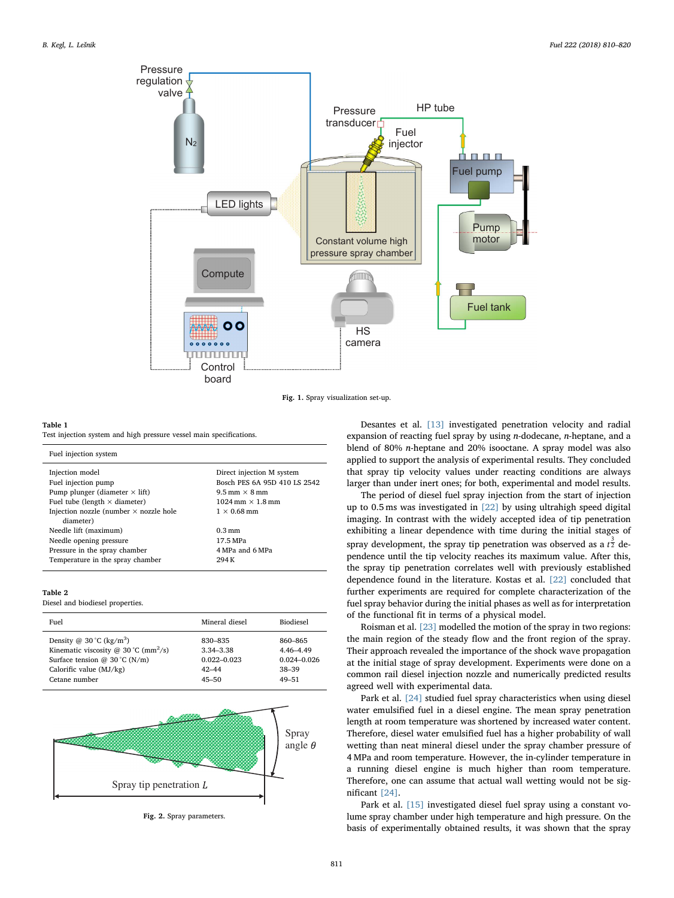<span id="page-1-0"></span>

Fig. 1. Spray visualization set-up.

#### <span id="page-1-1"></span>Table 1

Test injection system and high pressure vessel main specifications.

| Fuel injection system                         |                                         |
|-----------------------------------------------|-----------------------------------------|
| Injection model                               | Direct injection M system               |
| Fuel injection pump                           | Bosch PES 6A 95D 410 LS 2542            |
| Pump plunger (diameter $\times$ lift)         | $9.5$ mm $\times$ 8 mm                  |
| Fuel tube (length $\times$ diameter)          | $1024 \text{ mm} \times 1.8 \text{ mm}$ |
| Injection nozzle (number $\times$ nozzle hole | $1 \times 0.68$ mm                      |
| diameter)                                     |                                         |
| Needle lift (maximum)                         | $0.3 \,\mathrm{mm}$                     |
| Needle opening pressure                       | 17.5 MPa                                |
| Pressure in the spray chamber                 | 4 MPa and 6 MPa                         |
| Temperature in the spray chamber              | 294 K                                   |

#### <span id="page-1-2"></span>Table 2

Diesel and biodiesel properties.

| Fuel                                             | Mineral diesel  | <b>Biodiesel</b> |
|--------------------------------------------------|-----------------|------------------|
| Density @ $30^{\circ}$ C (kg/m <sup>3</sup> )    | 830-835         | 860-865          |
| Kinematic viscosity @ 30 °C (mm <sup>2</sup> /s) | 3.34-3.38       | 4.46-4.49        |
| Surface tension @ $30^{\circ}$ C (N/m)           | $0.022 - 0.023$ | $0.024 - 0.026$  |
| Calorific value $(MJ/kg)$                        | $42 - 44$       | $38 - 39$        |
| Cetane number                                    | $45 - 50$       | $49 - 51$        |

<span id="page-1-3"></span>

Fig. 2. Spray parameters.

Desantes et al. [\[13\]](#page-9-5) investigated penetration velocity and radial expansion of reacting fuel spray by using n-dodecane, n-heptane, and a blend of 80% n-heptane and 20% isooctane. A spray model was also applied to support the analysis of experimental results. They concluded that spray tip velocity values under reacting conditions are always larger than under inert ones; for both, experimental and model results.

The period of diesel fuel spray injection from the start of injection up to 0.5 ms was investigated in [\[22\]](#page-10-3) by using ultrahigh speed digital imaging. In contrast with the widely accepted idea of tip penetration exhibiting a linear dependence with time during the initial stages of spray development, the spray tip penetration was observed as a  $t^{\frac{3}{2}}$  dependence until the tip velocity reaches its maximum value. After this, the spray tip penetration correlates well with previously established dependence found in the literature. Kostas et al. [\[22\]](#page-10-3) concluded that further experiments are required for complete characterization of the fuel spray behavior during the initial phases as well as for interpretation of the functional fit in terms of a physical model.

Roisman et al. [\[23\]](#page-10-4) modelled the motion of the spray in two regions: the main region of the steady flow and the front region of the spray. Their approach revealed the importance of the shock wave propagation at the initial stage of spray development. Experiments were done on a common rail diesel injection nozzle and numerically predicted results agreed well with experimental data.

Park et al. [\[24\]](#page-10-5) studied fuel spray characteristics when using diesel water emulsified fuel in a diesel engine. The mean spray penetration length at room temperature was shortened by increased water content. Therefore, diesel water emulsified fuel has a higher probability of wall wetting than neat mineral diesel under the spray chamber pressure of 4 MPa and room temperature. However, the in-cylinder temperature in a running diesel engine is much higher than room temperature. Therefore, one can assume that actual wall wetting would not be significant [\[24\].](#page-10-5)

Park et al. [\[15\]](#page-9-6) investigated diesel fuel spray using a constant volume spray chamber under high temperature and high pressure. On the basis of experimentally obtained results, it was shown that the spray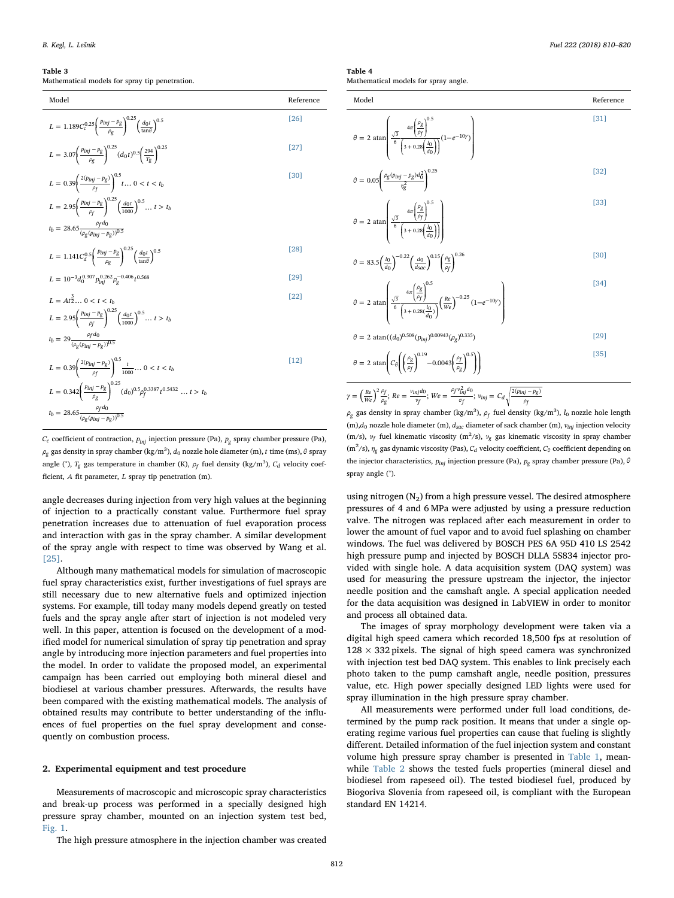## <span id="page-2-0"></span>Table 3

Mathematical models for spray tip penetration.

| Model                                                                                                                    | Reference |
|--------------------------------------------------------------------------------------------------------------------------|-----------|
| $L = 1.189 C_c^{0.25} \left( \frac{p_{inj} - p_g}{\rho_g} \right)^{0.25} \left( \frac{d_0 t}{\tan \theta} \right)^{0.5}$ | [26]      |
| $L = 3.07 \left( \frac{p_{inj} - p_g}{\rho_g} \right)^{0.25} (d_0 t)^{0.5} \left( \frac{294}{T_o} \right)^{0.25}$        | [27]      |
| $L = 0.39 \left( \frac{2(p_{inj} - p_g)}{c} \right)^{0.5} t \dots 0 < t < t_b$                                           | [30]      |

$$
L = 2.95 \left(\frac{p_{\text{inj}} - p_{\text{g}}}{\rho_f}\right)^{0.25} \left(\frac{d_{0}t}{1000}\right)^{0.5} \dots t > t_b
$$
  

$$
t_b = 28.65 \frac{\rho_f d_0}{(\rho_{\text{g}}(p_{\text{inj}} - p_{\text{g}}))^{0.5}}
$$

$$
L = 1.141C_d^{0.5} \left(\frac{p_{inj} - p_g}{\rho_g}\right)^{0.25} \left(\frac{d_0 t}{\tan \theta}\right)^{0.5}
$$
 [28]

$$
L = 10^{-3}d_0^{0.307}p_{inj}^{0.262}\rho_g^{-0.406}t^{0.568}
$$
\n
$$
[29]
$$

$$
L = At^{\frac{3}{2}}... 0 < t < t_b
$$
\n
$$
L = 2.95 \left( \frac{p_{lnj} - p_g}{\rho_f} \right)^{0.25} \left( \frac{d_0 t}{1000} \right)^{0.5}... t > t_b
$$
\n
$$
t_b = 29 \frac{\rho_f d_0}{(\rho_g (p_{lnj} - p_g))^{0.5}}
$$
\n
$$
L = 0.39 \left( \frac{2(p_{lnj} - p_g)}{\rho_f} \right)^{0.5} \frac{t}{1000}... 0 < t < t_b
$$
\n
$$
L = 0.342 \left( \frac{p_{lnj} - p_g}{\rho_g} \right)^{0.25} (d_0)^{0.5} \rho_f^{0.3387} t^{0.5432}... t > t_b
$$
\n
$$
t_b = 28.65 \frac{\rho_f d_0}{(\rho_g (p_{lnj} - p_g))^{0.5}}
$$
\n(12)

*Cc* coefficient of contraction, *pinj* injection pressure (Pa), *pg* spray chamber pressure (Pa), *ρg* gas density in spray chamber (kg/m<sup>3</sup> ), *d*0 nozzle hole diameter (m), *t* time (ms), *θ* spray angle ( $\degree$ ),  $T_g$  gas temperature in chamber (K),  $\rho_f$  fuel density (kg/m<sup>3</sup>),  $C_d$  velocity coefficient, *A* fit parameter, *L* spray tip penetration (m).

angle decreases during injection from very high values at the beginning of injection to a practically constant value. Furthermore fuel spray penetration increases due to attenuation of fuel evaporation process and interaction with gas in the spray chamber. A similar development of the spray angle with respect to time was observed by Wang et al. [\[25\]](#page-10-6).

Although many mathematical models for simulation of macroscopic fuel spray characteristics exist, further investigations of fuel sprays are still necessary due to new alternative fuels and optimized injection systems. For example, till today many models depend greatly on tested fuels and the spray angle after start of injection is not modeled very well. In this paper, attention is focused on the development of a modified model for numerical simulation of spray tip penetration and spray angle by introducing more injection parameters and fuel properties into the model. In order to validate the proposed model, an experimental campaign has been carried out employing both mineral diesel and biodiesel at various chamber pressures. Afterwards, the results have been compared with the existing mathematical models. The analysis of obtained results may contribute to better understanding of the influences of fuel properties on the fuel spray development and consequently on combustion process.

#### 2. Experimental equipment and test procedure

Measurements of macroscopic and microscopic spray characteristics and break-up process was performed in a specially designed high pressure spray chamber, mounted on an injection system test bed, [Fig. 1.](#page-1-0)

The high pressure atmosphere in the injection chamber was created

<span id="page-2-1"></span>Table 4

 $θ$ 

for spray angle

| Model                                                                                                                                                                                 | Reference |
|---------------------------------------------------------------------------------------------------------------------------------------------------------------------------------------|-----------|
| $\theta = 2 \text{ atan}\left(\frac{\sqrt{3}}{6} \frac{4\pi \left(\frac{\rho g}{\rho f}\right)^{0.5}}{\left(3 + 0.28 \left(\frac{l_0}{d_0}\right)\right)} (1 - e^{-10\gamma})\right)$ | [31]      |
| $\theta = 0.05 \left( \frac{\rho_g (p_{inj} - p_g) d_0^2}{n_o^2} \right)^{0.25}$                                                                                                      | [32]      |

$$
= 2 \text{ atan}\left(\frac{\sqrt{3}}{6} \frac{4\pi \left(\frac{\rho_g}{\rho_f}\right)^{0.5}}{\left(3 + 0.28 \left(\frac{l_0}{a_0}\right)\right)}\right)
$$

$$
\theta = 83.5 \left( \frac{l_0}{d_0} \right)^{-0.22} \left( \frac{d_0}{d_{\text{soc}}} \right)^{0.15} \left( \frac{\rho_g}{\rho_f} \right)^{0.26} \tag{30}
$$

$$
\theta = 2 \text{ atan}\left(\frac{\frac{4\pi}{\beta} \left(\frac{\beta g}{\beta f}\right)^{0.5}}{\left(3 + 0.28\left(\frac{l_0}{d_0}\right)\right)} \left(\frac{Re}{We}\right)^{-0.25} (1 - e^{-10y})\right)
$$
\n[34]

 $\theta = 2 \ \text{atan}((d_0)^{0.508} (p_{inj})^{0.00943} (\rho_g)^{0.335})$ <sup>[\[29\]](#page-10-11)</sup>  $= 2 \tan \left[ C_\theta \right] \left( \frac{\rho_g}{R} \right)^{0.15} - 0.0043 \left( \frac{\rho_f}{R} \right)$  $\Bigg( C_\theta \Bigg($  $\Vert$ ⎝ ⎞  $\Bigg| \qquad -0.0043 \Bigg($ ⎞ ⎠ ⎞  $\theta = 2 \ \text{atan} \left( C_\theta \left( \left( \frac{\rho_g}{\rho_f} \right)^{0.15} - 0.0043 \left( \frac{\rho_f}{\rho_g} \right)^{0.5} \right) \right)$ ⎞ ⎠ *ρf ρf ρg*  $(0.19)$   $(0.5)$  [\[35\]](#page-10-16)

$$
\gamma = \left(\frac{Re}{We}\right)^2 \frac{\rho_f}{\rho_g};\, Re = \frac{v_{inj}d_0}{v_f};\, We = \frac{\rho_f v_{inj}^2 d_0}{\sigma_f};\, v_{inj} = C_d \sqrt{\frac{2(p_{inj} - p_g)}{\rho_f}}
$$

 $\rho_g$  gas density in spray chamber (kg/m<sup>3</sup>),  $\rho_f$  fuel density (kg/m<sup>3</sup>),  $l_0$  nozzle hole length  $(m)$ , $d_0$  nozzle hole diameter (m),  $d_{sac}$  diameter of sack chamber (m),  $v_{ini}$  injection velocity (m/s), *ν<sub>f</sub>* fuel kinematic viscosity (m<sup>2</sup>/s), *ν<sub>g</sub>* gas kinematic viscosity in spray chamber (m<sup>2</sup>/s), *η<sub>g</sub>* gas dynamic viscosity (Pas), *C<sub>d</sub>* velocity coefficient, *C*<sub>θ</sub> coefficient depending on the injector characteristics, *pinj* injection pressure (Pa), *pg* spray chamber pressure (Pa), *θ* spray angle (°).

using nitrogen  $(N_2)$  from a high pressure vessel. The desired atmosphere pressures of 4 and 6 MPa were adjusted by using a pressure reduction valve. The nitrogen was replaced after each measurement in order to lower the amount of fuel vapor and to avoid fuel splashing on chamber windows. The fuel was delivered by BOSCH PES 6A 95D 410 LS 2542 high pressure pump and injected by BOSCH DLLA 5S834 injector provided with single hole. A data acquisition system (DAQ system) was used for measuring the pressure upstream the injector, the injector needle position and the camshaft angle. A special application needed for the data acquisition was designed in LabVIEW in order to monitor and process all obtained data.

The images of spray morphology development were taken via a digital high speed camera which recorded 18,500 fps at resolution of  $128 \times 332$  pixels. The signal of high speed camera was synchronized with injection test bed DAQ system. This enables to link precisely each photo taken to the pump camshaft angle, needle position, pressures value, etc. High power specially designed LED lights were used for spray illumination in the high pressure spray chamber.

All measurements were performed under full load conditions, determined by the pump rack position. It means that under a single operating regime various fuel properties can cause that fueling is slightly different. Detailed information of the fuel injection system and constant volume high pressure spray chamber is presented in [Table 1](#page-1-1), meanwhile [Table 2](#page-1-2) shows the tested fuels properties (mineral diesel and biodiesel from rapeseed oil). The tested biodiesel fuel, produced by Biogoriva Slovenia from rapeseed oil, is compliant with the European standard EN 14214.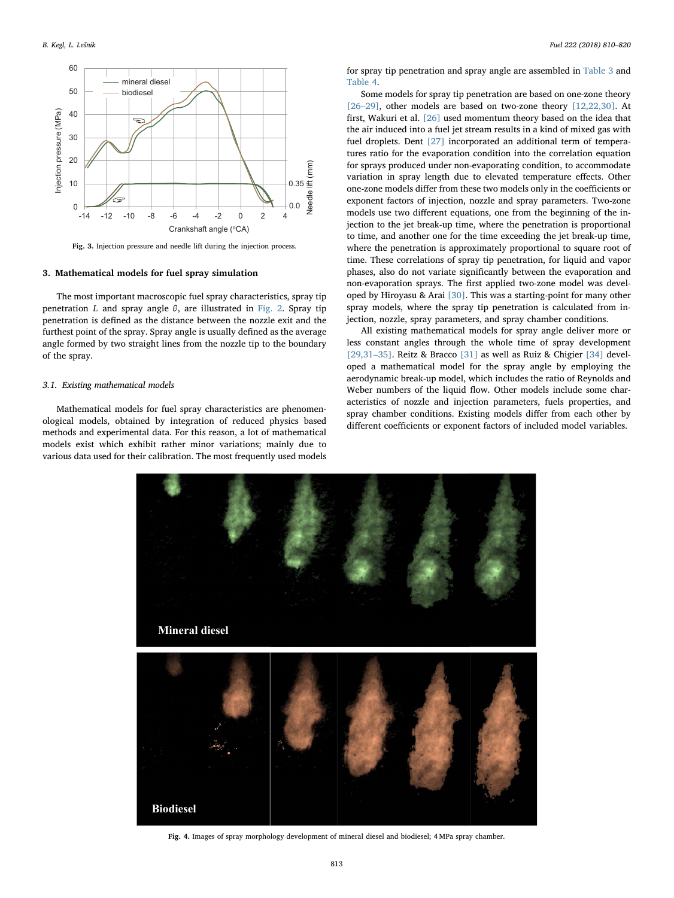<span id="page-3-0"></span>

Fig. 3. Injection pressure and needle lift during the injection process.

#### 3. Mathematical models for fuel spray simulation

The most important macroscopic fuel spray characteristics, spray tip penetration *L* and spray angle *θ*, are illustrated in [Fig. 2](#page-1-3). Spray tip penetration is defined as the distance between the nozzle exit and the furthest point of the spray. Spray angle is usually defined as the average angle formed by two straight lines from the nozzle tip to the boundary of the spray.

#### 3.1. Existing mathematical models

<span id="page-3-1"></span>Mathematical models for fuel spray characteristics are phenomenological models, obtained by integration of reduced physics based methods and experimental data. For this reason, a lot of mathematical models exist which exhibit rather minor variations; mainly due to various data used for their calibration. The most frequently used models

for spray tip penetration and spray angle are assembled in [Table 3](#page-2-0) and [Table 4](#page-2-1).

Some models for spray tip penetration are based on one-zone theory [26-[29\]](#page-10-7), other models are based on two-zone theory [\[12,22,30\].](#page-9-4) At first, Wakuri et al. [\[26\]](#page-10-7) used momentum theory based on the idea that the air induced into a fuel jet stream results in a kind of mixed gas with fuel droplets. Dent [\[27\]](#page-10-8) incorporated an additional term of temperatures ratio for the evaporation condition into the correlation equation for sprays produced under non-evaporating condition, to accommodate variation in spray length due to elevated temperature effects. Other one-zone models differ from these two models only in the coefficients or exponent factors of injection, nozzle and spray parameters. Two-zone models use two different equations, one from the beginning of the injection to the jet break-up time, where the penetration is proportional to time, and another one for the time exceeding the jet break-up time, where the penetration is approximately proportional to square root of time. These correlations of spray tip penetration, for liquid and vapor phases, also do not variate significantly between the evaporation and non-evaporation sprays. The first applied two-zone model was developed by Hiroyasu & Arai [\[30\]](#page-10-9). This was a starting-point for many other spray models, where the spray tip penetration is calculated from injection, nozzle, spray parameters, and spray chamber conditions.

All existing mathematical models for spray angle deliver more or less constant angles through the whole time of spray development [\[29,31](#page-10-11)–35]. Reitz & Bracco [\[31\]](#page-10-12) as well as Ruiz & Chigier [\[34\]](#page-10-15) developed a mathematical model for the spray angle by employing the aerodynamic break-up model, which includes the ratio of Reynolds and Weber numbers of the liquid flow. Other models include some characteristics of nozzle and injection parameters, fuels properties, and spray chamber conditions. Existing models differ from each other by different coefficients or exponent factors of included model variables.



Fig. 4. Images of spray morphology development of mineral diesel and biodiesel; 4 MPa spray chamber.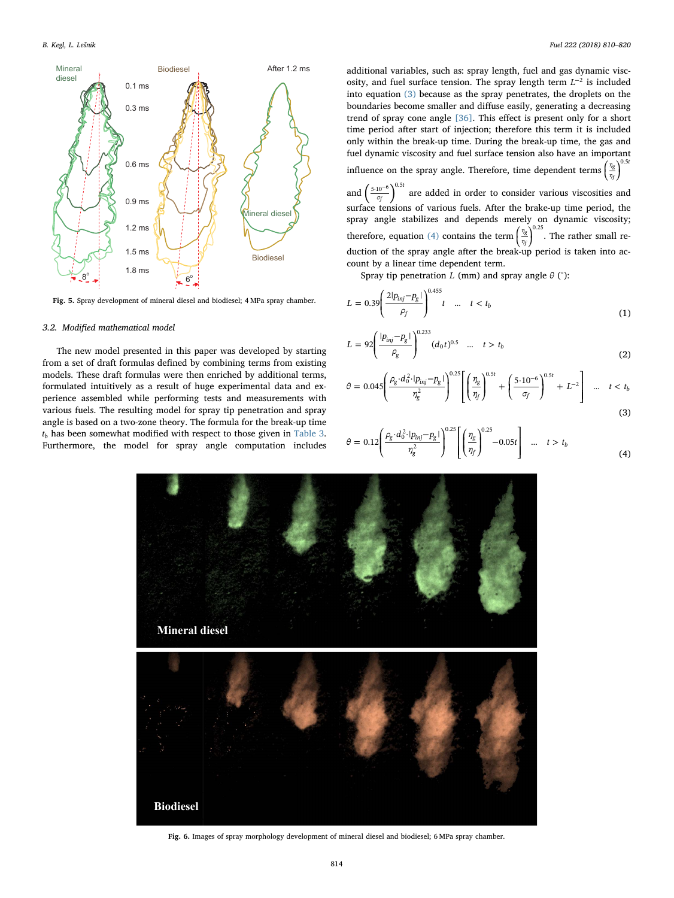<span id="page-4-2"></span>

Fig. 5. Spray development of mineral diesel and biodiesel; 4 MPa spray chamber.

#### 3.2. Modified mathematical model

The new model presented in this paper was developed by starting from a set of draft formulas defined by combining terms from existing models. These draft formulas were then enriched by additional terms, formulated intuitively as a result of huge experimental data and experience assembled while performing tests and measurements with various fuels. The resulting model for spray tip penetration and spray angle is based on a two-zone theory. The formula for the break-up time  $t_b$  has been somewhat modified with respect to those given in [Table 3](#page-2-0). Furthermore, the model for spray angle computation includes additional variables, such as: spray length, fuel and gas dynamic viscosity, and fuel surface tension. The spray length term  $L^{-2}$  is included into equation [\(3\)](#page-4-0) because as the spray penetrates, the droplets on the boundaries become smaller and diffuse easily, generating a decreasing trend of spray cone angle [\[36\].](#page-10-17) This effect is present only for a short time period after start of injection; therefore this term it is included only within the break-up time. During the break-up time, the gas and fuel dynamic viscosity and fuel surface tension also have an important influence on the spray angle. Therefore, time dependent terms  $($ .<br>| ⎠ *η η*  $v_{\rm g}$ <sup>0.5*t*</sup> *f*

and  $\left(\frac{5 \cdot 10^{-6}}{\sigma_f}\right)^{0.5t}$ 6 are added in order to consider various viscosities and surface tensions of various fuels. After the brake-up time period, the spray angle stabilizes and depends merely on dynamic viscosity; therefore, equation  $(4)$  contains the term  $($ ⎞ ⎠ *η η*  $v_g$   $^{0.25}$ *f* . The rather small reduction of the spray angle after the break-up period is taken into account by a linear time dependent term.

<span id="page-4-4"></span>Spray tip penetration *L* (mm) and spray angle  $\theta$  (°):

$$
L = 0.39 \left( \frac{2|p_{inj} - p_g|}{\rho_f} \right)^{0.455} t \quad \dots \quad t < t_b \tag{1}
$$

$$
L = 92 \left( \frac{|p_{inj} - p_g|}{\rho_g} \right)^{0.233} (d_0 t)^{0.5} \quad \dots \quad t > t_b \tag{2}
$$

<span id="page-4-0"></span>
$$
\theta = 0.045 \left( \frac{\rho_g \cdot d_0^2 \cdot |p_{inj} - p_g|}{\eta_g^2} \right)^{0.25} \left[ \left( \frac{\eta_g}{\eta_f} \right)^{0.5t} + \left( \frac{5 \cdot 10^{-6}}{\sigma_f} \right)^{0.5t} + L^{-2} \right] \dots t < t_b
$$
\n(3)

<span id="page-4-1"></span>
$$
\theta = 0.12 \left( \frac{\rho_g \cdot d_0^2 \cdot |p_{inj} - p_g|}{\eta_g^2} \right)^{0.25} \left[ \left( \frac{\eta_g}{\eta_f} \right)^{0.25} - 0.05t \right] \quad \dots \quad t > t_b \tag{4}
$$

<span id="page-4-3"></span>

Fig. 6. Images of spray morphology development of mineral diesel and biodiesel; 6 MPa spray chamber.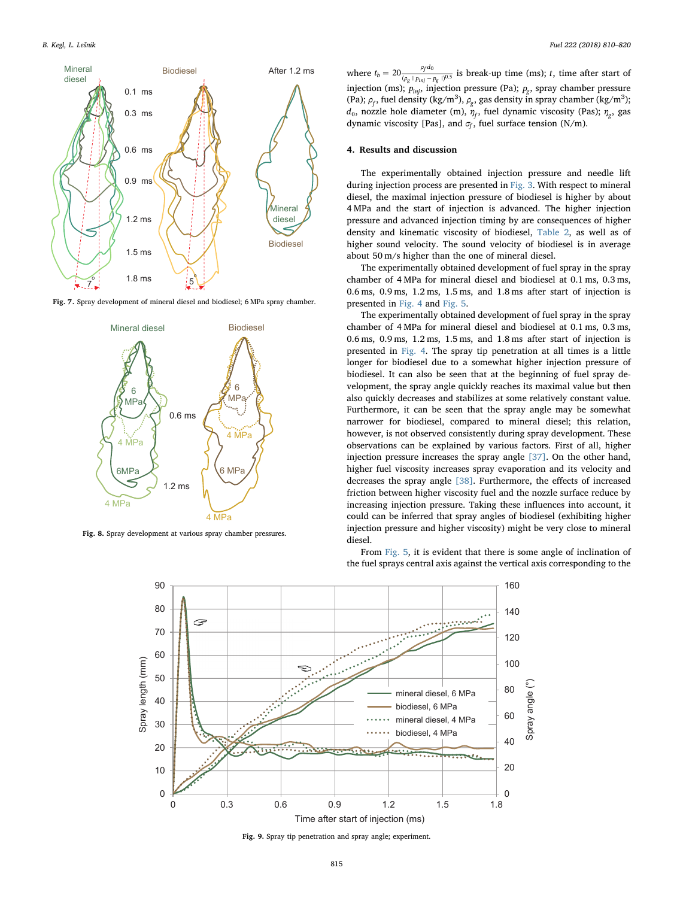<span id="page-5-0"></span>

<span id="page-5-1"></span>Fig. 7. Spray development of mineral diesel and biodiesel; 6 MPa spray chamber.



<span id="page-5-2"></span>Fig. 8. Spray development at various spray chamber pressures.

where  $t_b = 20 \frac{\rho_f d_0}{(\rho_g + p_{ini} - p_g)})$ *g inj g*  $\frac{10}{(100-1)^{0.5}}$  is break-up time (ms); *t*, time after start of injection (ms);  $p_{ini}$ , injection pressure (Pa);  $p_g$ , spray chamber pressure (Pa);  $\rho_f$ , fuel density (kg/m<sup>3</sup>),  $\rho_g$ , gas density in spray chamber (kg/m<sup>3</sup>);  $d_0$ , nozzle hole diameter (m),  $\eta_f$ , fuel dynamic viscosity (Pas);  $η_o$ , gas dynamic viscosity [Pas], and  $\sigma_f$ , fuel surface tension (N/m).

#### 4. Results and discussion

The experimentally obtained injection pressure and needle lift during injection process are presented in [Fig. 3.](#page-3-0) With respect to mineral diesel, the maximal injection pressure of biodiesel is higher by about 4 MPa and the start of injection is advanced. The higher injection pressure and advanced injection timing by are consequences of higher density and kinematic viscosity of biodiesel, [Table 2](#page-1-2), as well as of higher sound velocity. The sound velocity of biodiesel is in average about 50 m/s higher than the one of mineral diesel.

The experimentally obtained development of fuel spray in the spray chamber of 4 MPa for mineral diesel and biodiesel at 0.1 ms, 0.3 ms, 0.6 ms, 0.9 ms, 1.2 ms, 1.5 ms, and 1.8 ms after start of injection is presented in [Fig. 4](#page-3-1) and [Fig. 5.](#page-4-2)

The experimentally obtained development of fuel spray in the spray chamber of 4 MPa for mineral diesel and biodiesel at 0.1 ms, 0.3 ms, 0.6 ms, 0.9 ms, 1.2 ms, 1.5 ms, and 1.8 ms after start of injection is presented in [Fig. 4](#page-3-1). The spray tip penetration at all times is a little longer for biodiesel due to a somewhat higher injection pressure of biodiesel. It can also be seen that at the beginning of fuel spray development, the spray angle quickly reaches its maximal value but then also quickly decreases and stabilizes at some relatively constant value. Furthermore, it can be seen that the spray angle may be somewhat narrower for biodiesel, compared to mineral diesel; this relation, however, is not observed consistently during spray development. These observations can be explained by various factors. First of all, higher injection pressure increases the spray angle [\[37\].](#page-10-18) On the other hand, higher fuel viscosity increases spray evaporation and its velocity and decreases the spray angle [\[38\]](#page-10-19). Furthermore, the effects of increased friction between higher viscosity fuel and the nozzle surface reduce by increasing injection pressure. Taking these influences into account, it could can be inferred that spray angles of biodiesel (exhibiting higher injection pressure and higher viscosity) might be very close to mineral diesel.

From [Fig. 5,](#page-4-2) it is evident that there is some angle of inclination of the fuel sprays central axis against the vertical axis corresponding to the



Fig. 9. Spray tip penetration and spray angle; experiment.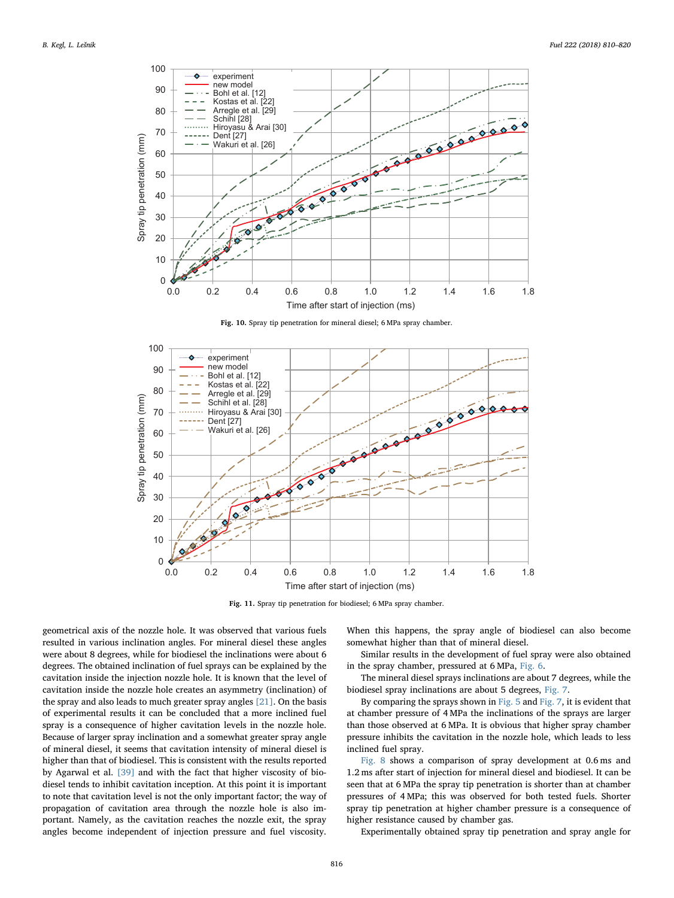<span id="page-6-0"></span>

Fig. 10. Spray tip penetration for mineral diesel; 6 MPa spray chamber.

<span id="page-6-1"></span>

Fig. 11. Spray tip penetration for biodiesel; 6 MPa spray chamber.

geometrical axis of the nozzle hole. It was observed that various fuels resulted in various inclination angles. For mineral diesel these angles were about 8 degrees, while for biodiesel the inclinations were about 6 degrees. The obtained inclination of fuel sprays can be explained by the cavitation inside the injection nozzle hole. It is known that the level of cavitation inside the nozzle hole creates an asymmetry (inclination) of the spray and also leads to much greater spray angles [\[21\].](#page-10-2) On the basis of experimental results it can be concluded that a more inclined fuel spray is a consequence of higher cavitation levels in the nozzle hole. Because of larger spray inclination and a somewhat greater spray angle of mineral diesel, it seems that cavitation intensity of mineral diesel is higher than that of biodiesel. This is consistent with the results reported by Agarwal et al. [\[39\]](#page-10-20) and with the fact that higher viscosity of biodiesel tends to inhibit cavitation inception. At this point it is important to note that cavitation level is not the only important factor; the way of propagation of cavitation area through the nozzle hole is also important. Namely, as the cavitation reaches the nozzle exit, the spray angles become independent of injection pressure and fuel viscosity.

When this happens, the spray angle of biodiesel can also become somewhat higher than that of mineral diesel.

Similar results in the development of fuel spray were also obtained in the spray chamber, pressured at 6 MPa, [Fig. 6](#page-4-3).

The mineral diesel sprays inclinations are about 7 degrees, while the biodiesel spray inclinations are about 5 degrees, [Fig. 7.](#page-5-0)

By comparing the sprays shown in [Fig. 5](#page-4-2) and [Fig. 7,](#page-5-0) it is evident that at chamber pressure of 4 MPa the inclinations of the sprays are larger than those observed at 6 MPa. It is obvious that higher spray chamber pressure inhibits the cavitation in the nozzle hole, which leads to less inclined fuel spray.

[Fig. 8](#page-5-1) shows a comparison of spray development at 0.6 ms and 1.2 ms after start of injection for mineral diesel and biodiesel. It can be seen that at 6 MPa the spray tip penetration is shorter than at chamber pressures of 4 MPa; this was observed for both tested fuels. Shorter spray tip penetration at higher chamber pressure is a consequence of higher resistance caused by chamber gas.

Experimentally obtained spray tip penetration and spray angle for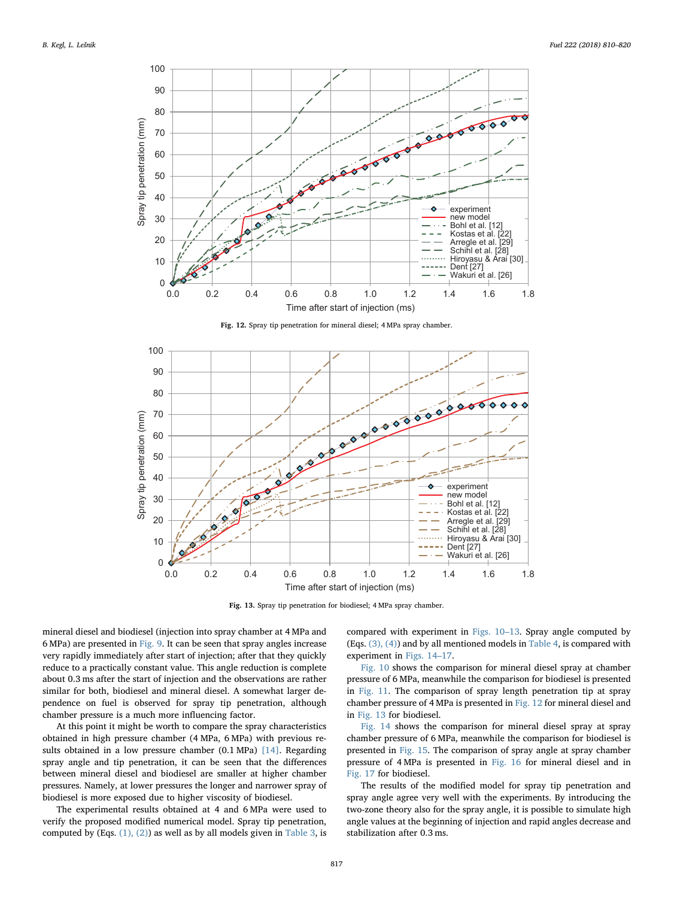<span id="page-7-0"></span>

Fig. 12. Spray tip penetration for mineral diesel; 4 MPa spray chamber.

<span id="page-7-1"></span>

Fig. 13. Spray tip penetration for biodiesel; 4 MPa spray chamber.

mineral diesel and biodiesel (injection into spray chamber at 4 MPa and 6 MPa) are presented in [Fig. 9](#page-5-2). It can be seen that spray angles increase very rapidly immediately after start of injection; after that they quickly reduce to a practically constant value. This angle reduction is complete about 0.3 ms after the start of injection and the observations are rather similar for both, biodiesel and mineral diesel. A somewhat larger dependence on fuel is observed for spray tip penetration, although chamber pressure is a much more influencing factor.

At this point it might be worth to compare the spray characteristics obtained in high pressure chamber (4 MPa, 6 MPa) with previous results obtained in a low pressure chamber (0.1 MPa) [\[14\].](#page-9-7) Regarding spray angle and tip penetration, it can be seen that the differences between mineral diesel and biodiesel are smaller at higher chamber pressures. Namely, at lower pressures the longer and narrower spray of biodiesel is more exposed due to higher viscosity of biodiesel.

The experimental results obtained at 4 and 6 MPa were used to verify the proposed modified numerical model. Spray tip penetration, computed by (Eqs. [\(1\), \(2\)\)](#page-4-4) as well as by all models given in [Table 3,](#page-2-0) is

compared with experiment in [Figs. 10](#page-6-0)–13. Spray angle computed by (Eqs. [\(3\), \(4\)](#page-4-0)) and by all mentioned models in [Table 4](#page-2-1), is compared with experiment in [Figs. 14](#page-8-0)–17.

[Fig. 10](#page-6-0) shows the comparison for mineral diesel spray at chamber pressure of 6 MPa, meanwhile the comparison for biodiesel is presented in [Fig. 11](#page-6-1). The comparison of spray length penetration tip at spray chamber pressure of 4 MPa is presented in [Fig. 12](#page-7-0) for mineral diesel and in [Fig. 13](#page-7-1) for biodiesel.

[Fig. 14](#page-8-0) shows the comparison for mineral diesel spray at spray chamber pressure of 6 MPa, meanwhile the comparison for biodiesel is presented in [Fig. 15](#page-8-1). The comparison of spray angle at spray chamber pressure of 4 MPa is presented in [Fig. 16](#page-9-8) for mineral diesel and in [Fig. 17](#page-9-9) for biodiesel.

The results of the modified model for spray tip penetration and spray angle agree very well with the experiments. By introducing the two-zone theory also for the spray angle, it is possible to simulate high angle values at the beginning of injection and rapid angles decrease and stabilization after 0.3 ms.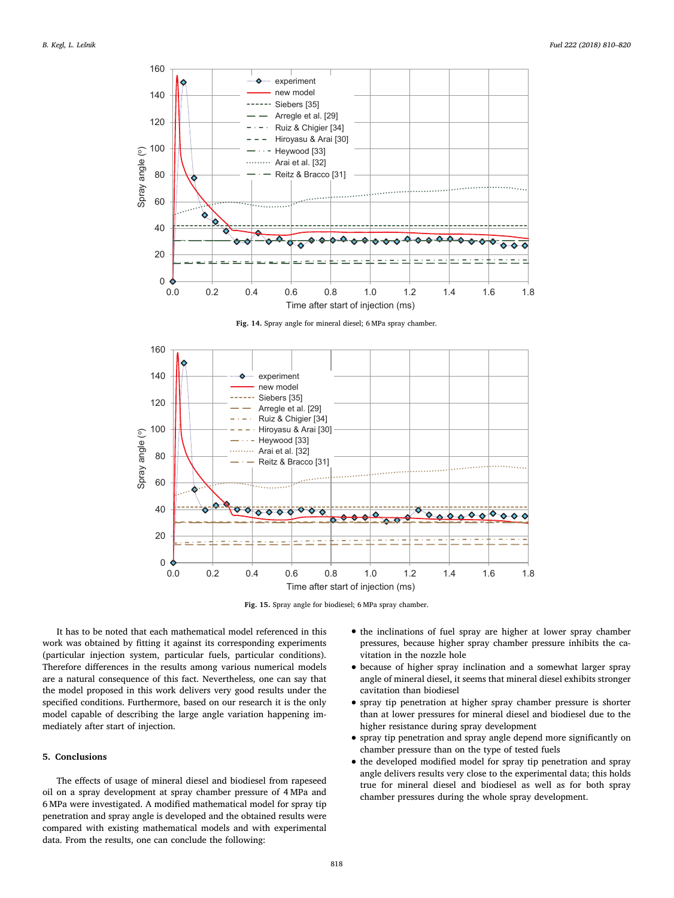<span id="page-8-0"></span>

Fig. 14. Spray angle for mineral diesel; 6 MPa spray chamber.

<span id="page-8-1"></span>

Fig. 15. Spray angle for biodiesel; 6 MPa spray chamber.

It has to be noted that each mathematical model referenced in this work was obtained by fitting it against its corresponding experiments (particular injection system, particular fuels, particular conditions). Therefore differences in the results among various numerical models are a natural consequence of this fact. Nevertheless, one can say that the model proposed in this work delivers very good results under the specified conditions. Furthermore, based on our research it is the only model capable of describing the large angle variation happening immediately after start of injection.

#### 5. Conclusions

The effects of usage of mineral diesel and biodiesel from rapeseed oil on a spray development at spray chamber pressure of 4 MPa and 6 MPa were investigated. A modified mathematical model for spray tip penetration and spray angle is developed and the obtained results were compared with existing mathematical models and with experimental data. From the results, one can conclude the following:

- the inclinations of fuel spray are higher at lower spray chamber pressures, because higher spray chamber pressure inhibits the cavitation in the nozzle hole
- because of higher spray inclination and a somewhat larger spray angle of mineral diesel, it seems that mineral diesel exhibits stronger cavitation than biodiesel
- spray tip penetration at higher spray chamber pressure is shorter than at lower pressures for mineral diesel and biodiesel due to the higher resistance during spray development
- spray tip penetration and spray angle depend more significantly on chamber pressure than on the type of tested fuels
- the developed modified model for spray tip penetration and spray angle delivers results very close to the experimental data; this holds true for mineral diesel and biodiesel as well as for both spray chamber pressures during the whole spray development.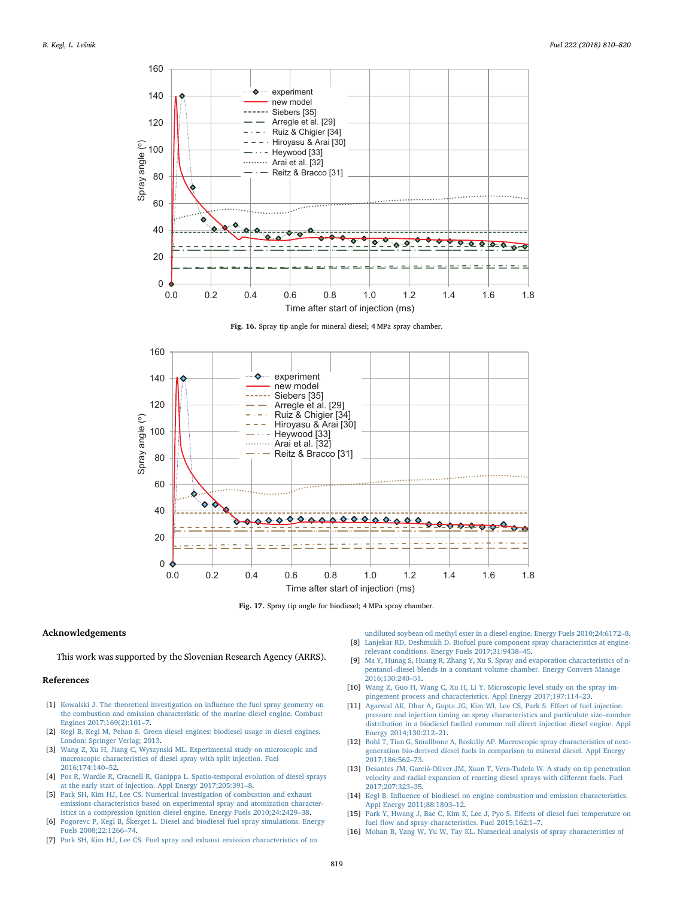<span id="page-9-8"></span>

Fig. 16. Spray tip angle for mineral diesel; 4 MPa spray chamber.

<span id="page-9-9"></span>

Fig. 17. Spray tip angle for biodiesel; 4 MPa spray chamber.

#### Acknowledgements

This work was supported by the Slovenian Research Agency (ARRS).

### References

- <span id="page-9-0"></span>[1] [Kowalski J. The theoretical investigation on in](http://refhub.elsevier.com/S0016-2361(18)30364-8/h0005)fluence the fuel spray geometry on [the combustion and emission characteristic of the marine diesel engine. Combust](http://refhub.elsevier.com/S0016-2361(18)30364-8/h0005) [Engines 2017;169\(2\):101](http://refhub.elsevier.com/S0016-2361(18)30364-8/h0005)–7.
- <span id="page-9-1"></span>[2] [Kegl B, Kegl M, Pehan S. Green diesel engines: biodiesel usage in diesel engines.](http://refhub.elsevier.com/S0016-2361(18)30364-8/h0010) [London: Springer Verlag; 2013.](http://refhub.elsevier.com/S0016-2361(18)30364-8/h0010)
- [3] [Wang Z, Xu H, Jiang C, Wyszynski ML. Experimental study on microscopic and](http://refhub.elsevier.com/S0016-2361(18)30364-8/h0015) [macroscopic characteristics of diesel spray with split injection. Fuel](http://refhub.elsevier.com/S0016-2361(18)30364-8/h0015) [2016;174:140](http://refhub.elsevier.com/S0016-2361(18)30364-8/h0015)–52.
- <span id="page-9-2"></span>[4] [Pos R, Wardle R, Cracnell R, Ganippa L. Spatio-temporal evolution of diesel sprays](http://refhub.elsevier.com/S0016-2361(18)30364-8/h0020) [at the early start of injection. Appl Energy 2017;205:391](http://refhub.elsevier.com/S0016-2361(18)30364-8/h0020)–8.
- [5] [Park SH, Kim HJ, Lee CS. Numerical investigation of combustion and exhaust](http://refhub.elsevier.com/S0016-2361(18)30364-8/h0025) [emissions characteristics based on experimental spray and atomization character](http://refhub.elsevier.com/S0016-2361(18)30364-8/h0025)[istics in a compression ignition diesel engine. Energy Fuels 2010;24:2429](http://refhub.elsevier.com/S0016-2361(18)30364-8/h0025)–38.
- [6] Pogorevc P, Kegl B, Š[kerget L. Diesel and biodiesel fuel spray simulations. Energy](http://refhub.elsevier.com/S0016-2361(18)30364-8/h0030) [Fuels 2008;22:1266](http://refhub.elsevier.com/S0016-2361(18)30364-8/h0030)–74.
- [7] [Park SH, Kim HJ, Lee CS. Fuel spray and exhaust emission characteristics of an](http://refhub.elsevier.com/S0016-2361(18)30364-8/h0035)

[undiluted soybean oil methyl ester in a diesel engine. Energy Fuels 2010;24:6172](http://refhub.elsevier.com/S0016-2361(18)30364-8/h0035)–8. [8] [Lanjekar RD, Deshmukh D. Biofuel pure component spray characteristics at engine-](http://refhub.elsevier.com/S0016-2361(18)30364-8/h0040)

- [relevant conditions. Energy Fuels 2017;31:9438](http://refhub.elsevier.com/S0016-2361(18)30364-8/h0040)–45. [9] [Ma Y, Hunag S, Huang R, Zhang Y, Xu S. Spray and evaporation characteristics of n](http://refhub.elsevier.com/S0016-2361(18)30364-8/h0045)pentanol–[diesel blends in a constant volume chamber. Energy Convers Manage](http://refhub.elsevier.com/S0016-2361(18)30364-8/h0045)
- [2016;130:240](http://refhub.elsevier.com/S0016-2361(18)30364-8/h0045)–51. [10] [Wang Z, Guo H, Wang C, Xu H, Li Y. Microscopic level study on the spray im-](http://refhub.elsevier.com/S0016-2361(18)30364-8/h0050)
- <span id="page-9-3"></span>[pingement process and characteristics. Appl Energy 2017;197:114](http://refhub.elsevier.com/S0016-2361(18)30364-8/h0050)–23. [11] [Agarwal AK, Dhar A, Gupta JG, Kim WI, Lee CS, Park S. E](http://refhub.elsevier.com/S0016-2361(18)30364-8/h0055)ffect of fuel injection
- [pressure and injection timing on spray characteristics and particulate size](http://refhub.elsevier.com/S0016-2361(18)30364-8/h0055)–number [distribution in a biodiesel fuelled common rail direct injection diesel engine. Appl](http://refhub.elsevier.com/S0016-2361(18)30364-8/h0055) [Energy 2014;130:212](http://refhub.elsevier.com/S0016-2361(18)30364-8/h0055)–21.
- <span id="page-9-4"></span>[12] [Bohl T, Tian G, Smallbone A, Roskilly AP. Macroscopic spray characteristics of next](http://refhub.elsevier.com/S0016-2361(18)30364-8/h0060)[generation bio-derived diesel fuels in comparison to mineral diesel. Appl Energy](http://refhub.elsevier.com/S0016-2361(18)30364-8/h0060) [2017;186:562](http://refhub.elsevier.com/S0016-2361(18)30364-8/h0060)–73.
- <span id="page-9-5"></span>[13] [Desantes JM, Garciá-Oliver JM, Xuan T, Vera-Tudela W. A study on tip penetration](http://refhub.elsevier.com/S0016-2361(18)30364-8/h0065) [velocity and radial expansion of reacting diesel sprays with di](http://refhub.elsevier.com/S0016-2361(18)30364-8/h0065)fferent fuels. Fuel [2017;207:323](http://refhub.elsevier.com/S0016-2361(18)30364-8/h0065)–35.
- <span id="page-9-7"></span>[14] Kegl B. Infl[uence of biodiesel on engine combustion and emission characteristics.](http://refhub.elsevier.com/S0016-2361(18)30364-8/h0070) [Appl Energy 2011;88:1803](http://refhub.elsevier.com/S0016-2361(18)30364-8/h0070)–12.
- <span id="page-9-6"></span>[15] Park [Y, Hwang J, Bae C, Kim K, Lee J, Pyo S. E](http://refhub.elsevier.com/S0016-2361(18)30364-8/h0075)ffects of diesel fuel temperature on fuel fl[ow and spray characteristics. Fuel 2015;162:1](http://refhub.elsevier.com/S0016-2361(18)30364-8/h0075)–7.
- [16] [Mohan B, Yang W, Yu W, Tay KL. Numerical analysis of spray characteristics of](http://refhub.elsevier.com/S0016-2361(18)30364-8/h0080)